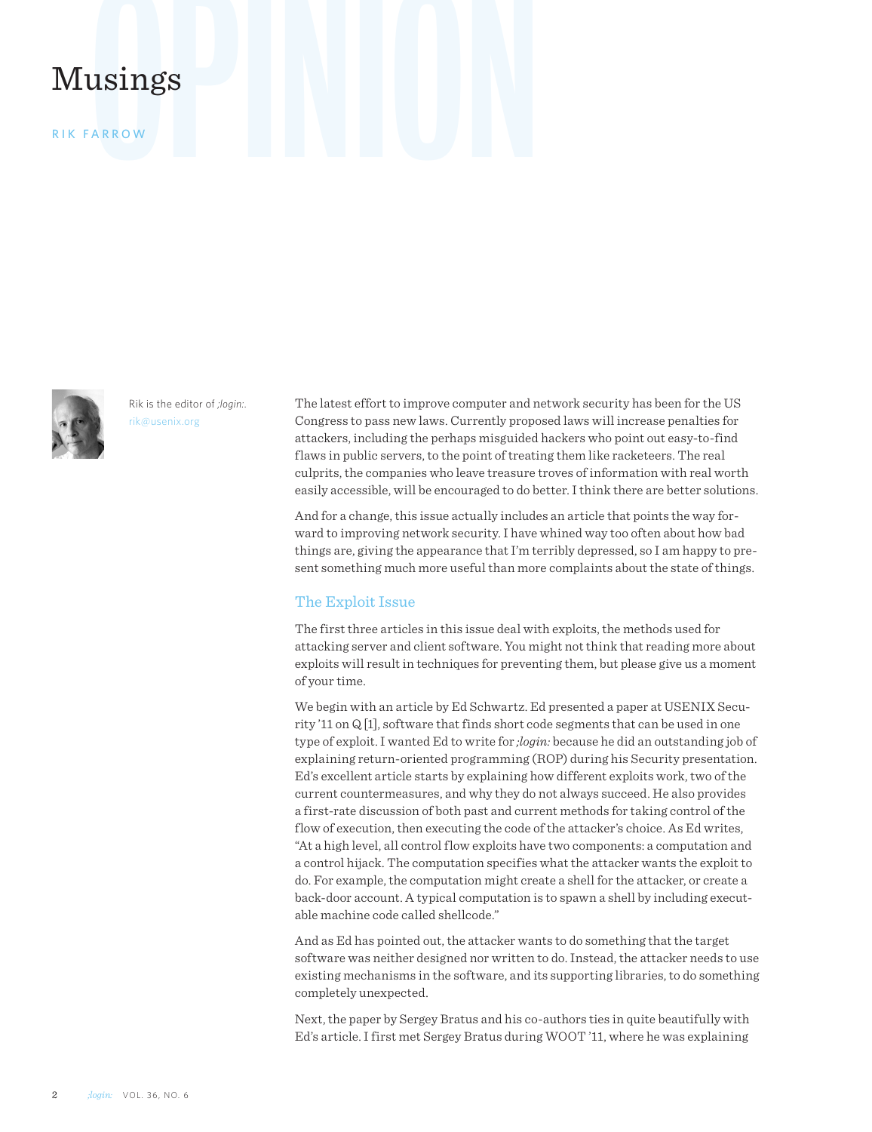# Musings

R ik Farrow



Rik is the editor of *;login:*. rik@usenix.org

The latest effort to improve computer and network security has been for the US Congress to pass new laws. Currently proposed laws will increase penalties for attackers, including the perhaps misguided hackers who point out easy-to-find flaws in public servers, to the point of treating them like racketeers. The real culprits, the companies who leave treasure troves of information with real worth easily accessible, will be encouraged to do better. I think there are better solutions.

And for a change, this issue actually includes an article that points the way forward to improving network security. I have whined way too often about how bad things are, giving the appearance that I'm terribly depressed, so I am happy to present something much more useful than more complaints about the state of things.

## The Exploit Issue

The first three articles in this issue deal with exploits, the methods used for attacking server and client software. You might not think that reading more about exploits will result in techniques for preventing them, but please give us a moment of your time.

We begin with an article by Ed Schwartz. Ed presented a paper at USENIX Security '11 on Q [1], software that finds short code segments that can be used in one type of exploit. I wanted Ed to write for *;login:* because he did an outstanding job of explaining return-oriented programming (ROP) during his Security presentation. Ed's excellent article starts by explaining how different exploits work, two of the current countermeasures, and why they do not always succeed. He also provides a first-rate discussion of both past and current methods for taking control of the flow of execution, then executing the code of the attacker's choice. As Ed writes, "At a high level, all control flow exploits have two components: a computation and a control hijack. The computation specifies what the attacker wants the exploit to do. For example, the computation might create a shell for the attacker, or create a back-door account. A typical computation is to spawn a shell by including executable machine code called shellcode."

And as Ed has pointed out, the attacker wants to do something that the target software was neither designed nor written to do. Instead, the attacker needs to use existing mechanisms in the software, and its supporting libraries, to do something completely unexpected.

Next, the paper by Sergey Bratus and his co-authors ties in quite beautifully with Ed's article. I first met Sergey Bratus during WOOT '11, where he was explaining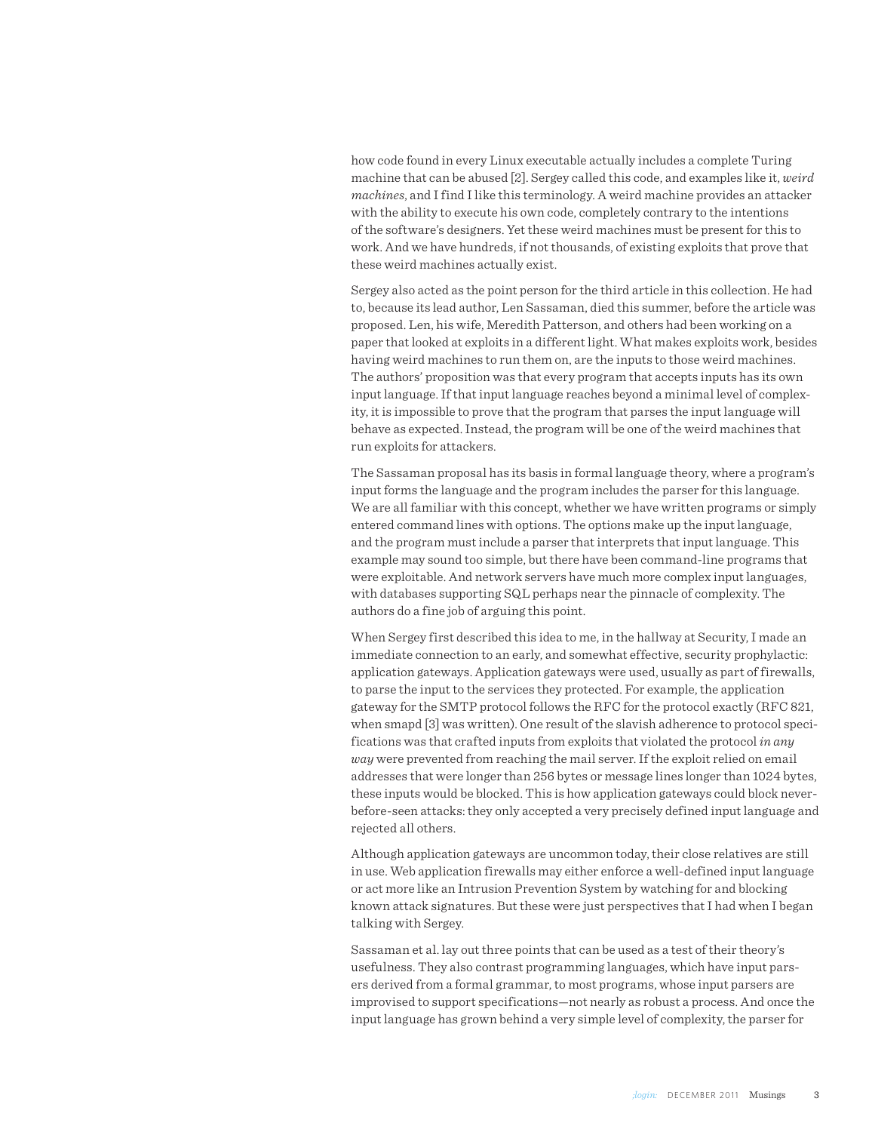how code found in every Linux executable actually includes a complete Turing machine that can be abused [2]. Sergey called this code, and examples like it, *weird machines*, and I find I like this terminology. A weird machine provides an attacker with the ability to execute his own code, completely contrary to the intentions of the software's designers. Yet these weird machines must be present for this to work. And we have hundreds, if not thousands, of existing exploits that prove that these weird machines actually exist.

Sergey also acted as the point person for the third article in this collection. He had to, because its lead author, Len Sassaman, died this summer, before the article was proposed. Len, his wife, Meredith Patterson, and others had been working on a paper that looked at exploits in a different light. What makes exploits work, besides having weird machines to run them on, are the inputs to those weird machines. The authors' proposition was that every program that accepts inputs has its own input language. If that input language reaches beyond a minimal level of complexity, it is impossible to prove that the program that parses the input language will behave as expected. Instead, the program will be one of the weird machines that run exploits for attackers.

The Sassaman proposal has its basis in formal language theory, where a program's input forms the language and the program includes the parser for this language. We are all familiar with this concept, whether we have written programs or simply entered command lines with options. The options make up the input language, and the program must include a parser that interprets that input language. This example may sound too simple, but there have been command-line programs that were exploitable. And network servers have much more complex input languages, with databases supporting SQL perhaps near the pinnacle of complexity. The authors do a fine job of arguing this point.

When Sergey first described this idea to me, in the hallway at Security, I made an immediate connection to an early, and somewhat effective, security prophylactic: application gateways. Application gateways were used, usually as part of firewalls, to parse the input to the services they protected. For example, the application gateway for the SMTP protocol follows the RFC for the protocol exactly (RFC 821, when smapd [3] was written). One result of the slavish adherence to protocol specifications was that crafted inputs from exploits that violated the protocol *in any way* were prevented from reaching the mail server. If the exploit relied on email addresses that were longer than 256 bytes or message lines longer than 1024 bytes, these inputs would be blocked. This is how application gateways could block neverbefore-seen attacks: they only accepted a very precisely defined input language and rejected all others.

Although application gateways are uncommon today, their close relatives are still in use. Web application firewalls may either enforce a well-defined input language or act more like an Intrusion Prevention System by watching for and blocking known attack signatures. But these were just perspectives that I had when I began talking with Sergey.

Sassaman et al. lay out three points that can be used as a test of their theory's usefulness. They also contrast programming languages, which have input parsers derived from a formal grammar, to most programs, whose input parsers are improvised to support specifications—not nearly as robust a process. And once the input language has grown behind a very simple level of complexity, the parser for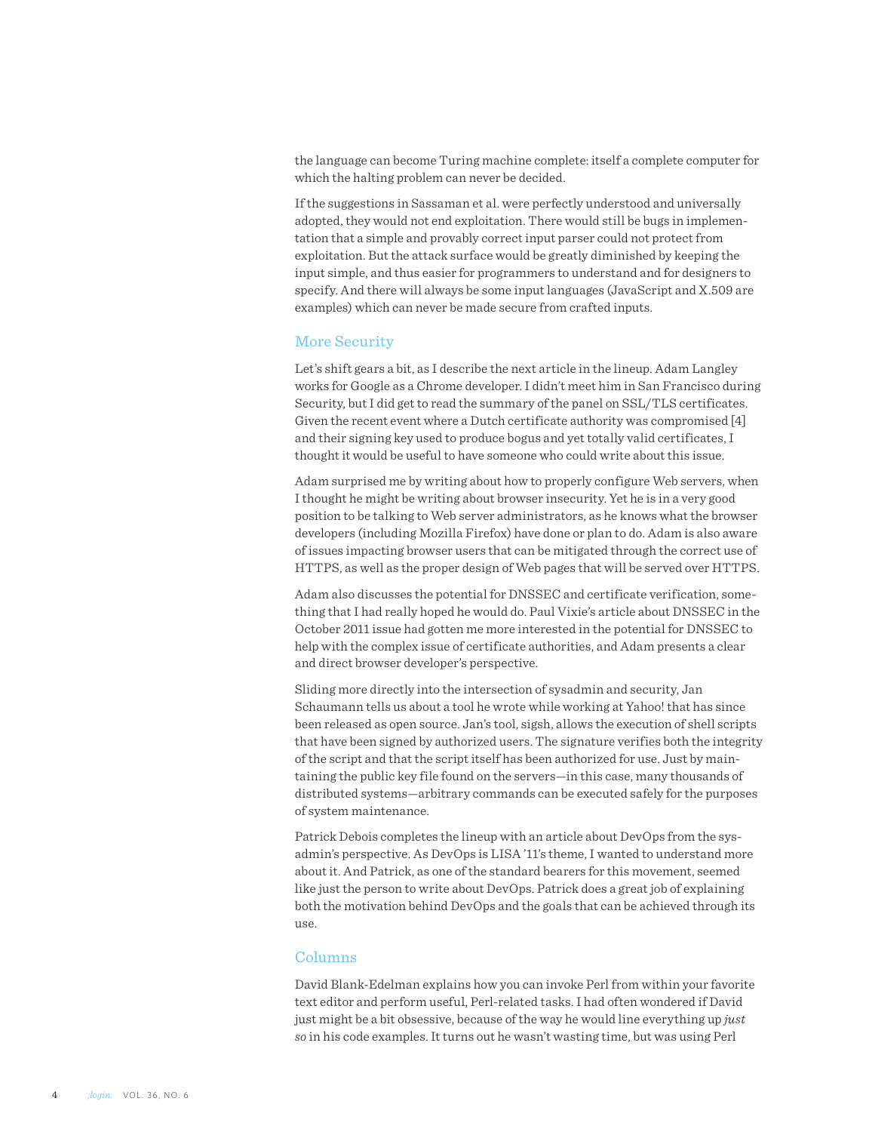the language can become Turing machine complete: itself a complete computer for which the halting problem can never be decided.

If the suggestions in Sassaman et al. were perfectly understood and universally adopted, they would not end exploitation. There would still be bugs in implementation that a simple and provably correct input parser could not protect from exploitation. But the attack surface would be greatly diminished by keeping the input simple, and thus easier for programmers to understand and for designers to specify. And there will always be some input languages (JavaScript and X.509 are examples) which can never be made secure from crafted inputs.

## More Security

Let's shift gears a bit, as I describe the next article in the lineup. Adam Langley works for Google as a Chrome developer. I didn't meet him in San Francisco during Security, but I did get to read the summary of the panel on SSL/TLS certificates. Given the recent event where a Dutch certificate authority was compromised [4] and their signing key used to produce bogus and yet totally valid certificates, I thought it would be useful to have someone who could write about this issue.

Adam surprised me by writing about how to properly configure Web servers, when I thought he might be writing about browser insecurity. Yet he is in a very good position to be talking to Web server administrators, as he knows what the browser developers (including Mozilla Firefox) have done or plan to do. Adam is also aware of issues impacting browser users that can be mitigated through the correct use of HTTPS, as well as the proper design of Web pages that will be served over HTTPS.

Adam also discusses the potential for DNSSEC and certificate verification, something that I had really hoped he would do. Paul Vixie's article about DNSSEC in the October 2011 issue had gotten me more interested in the potential for DNSSEC to help with the complex issue of certificate authorities, and Adam presents a clear and direct browser developer's perspective.

Sliding more directly into the intersection of sysadmin and security, Jan Schaumann tells us about a tool he wrote while working at Yahoo! that has since been released as open source. Jan's tool, sigsh, allows the execution of shell scripts that have been signed by authorized users. The signature verifies both the integrity of the script and that the script itself has been authorized for use. Just by maintaining the public key file found on the servers—in this case, many thousands of distributed systems—arbitrary commands can be executed safely for the purposes of system maintenance.

Patrick Debois completes the lineup with an article about DevOps from the sysadmin's perspective. As DevOps is LISA '11's theme, I wanted to understand more about it. And Patrick, as one of the standard bearers for this movement, seemed like just the person to write about DevOps. Patrick does a great job of explaining both the motivation behind DevOps and the goals that can be achieved through its use.

# Columns

David Blank-Edelman explains how you can invoke Perl from within your favorite text editor and perform useful, Perl-related tasks. I had often wondered if David just might be a bit obsessive, because of the way he would line everything up *just so* in his code examples. It turns out he wasn't wasting time, but was using Perl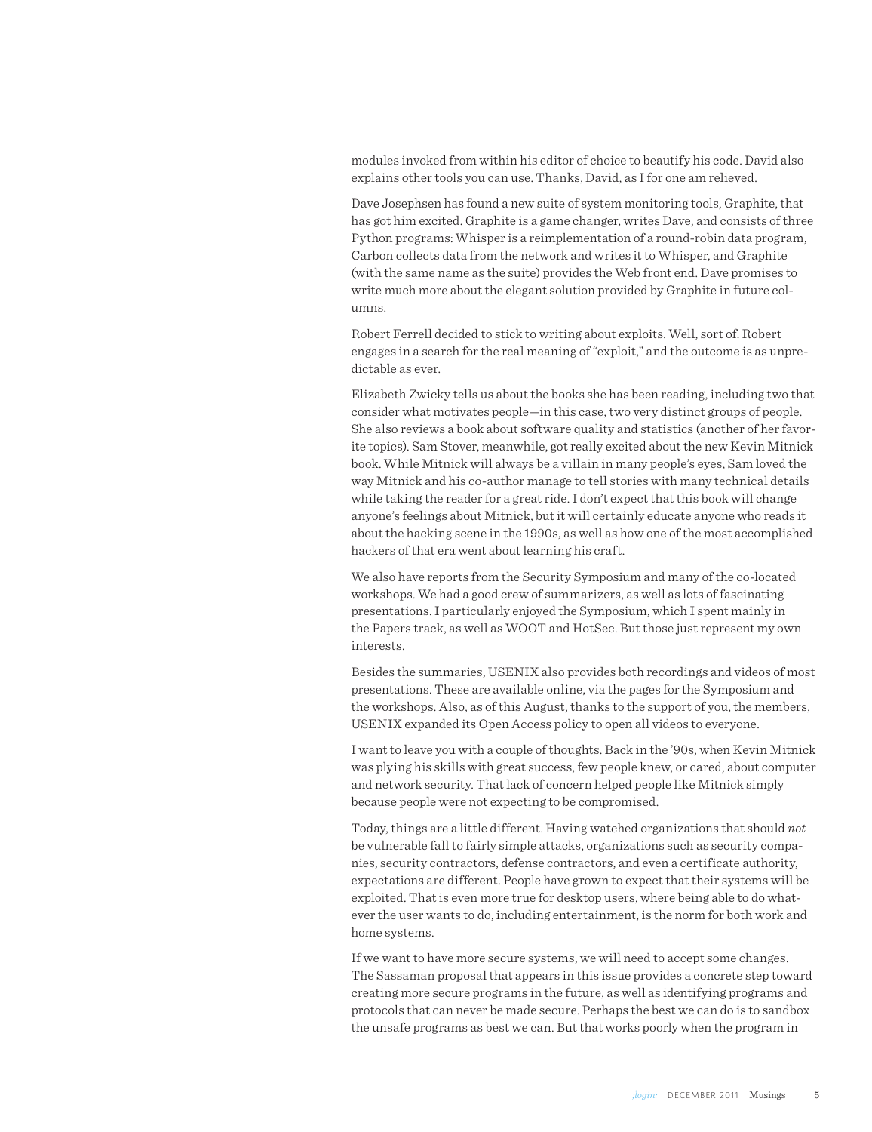modules invoked from within his editor of choice to beautify his code. David also explains other tools you can use. Thanks, David, as I for one am relieved.

Dave Josephsen has found a new suite of system monitoring tools, Graphite, that has got him excited. Graphite is a game changer, writes Dave, and consists of three Python programs: Whisper is a reimplementation of a round-robin data program, Carbon collects data from the network and writes it to Whisper, and Graphite (with the same name as the suite) provides the Web front end. Dave promises to write much more about the elegant solution provided by Graphite in future columns.

Robert Ferrell decided to stick to writing about exploits. Well, sort of. Robert engages in a search for the real meaning of "exploit," and the outcome is as unpredictable as ever.

Elizabeth Zwicky tells us about the books she has been reading, including two that consider what motivates people—in this case, two very distinct groups of people. She also reviews a book about software quality and statistics (another of her favorite topics). Sam Stover, meanwhile, got really excited about the new Kevin Mitnick book. While Mitnick will always be a villain in many people's eyes, Sam loved the way Mitnick and his co-author manage to tell stories with many technical details while taking the reader for a great ride. I don't expect that this book will change anyone's feelings about Mitnick, but it will certainly educate anyone who reads it about the hacking scene in the 1990s, as well as how one of the most accomplished hackers of that era went about learning his craft.

We also have reports from the Security Symposium and many of the co-located workshops. We had a good crew of summarizers, as well as lots of fascinating presentations. I particularly enjoyed the Symposium, which I spent mainly in the Papers track, as well as WOOT and HotSec. But those just represent my own interests.

Besides the summaries, USENIX also provides both recordings and videos of most presentations. These are available online, via the pages for the Symposium and the workshops. Also, as of this August, thanks to the support of you, the members, USENIX expanded its Open Access policy to open all videos to everyone.

I want to leave you with a couple of thoughts. Back in the '90s, when Kevin Mitnick was plying his skills with great success, few people knew, or cared, about computer and network security. That lack of concern helped people like Mitnick simply because people were not expecting to be compromised.

Today, things are a little different. Having watched organizations that should *not* be vulnerable fall to fairly simple attacks, organizations such as security companies, security contractors, defense contractors, and even a certificate authority, expectations are different. People have grown to expect that their systems will be exploited. That is even more true for desktop users, where being able to do whatever the user wants to do, including entertainment, is the norm for both work and home systems.

If we want to have more secure systems, we will need to accept some changes. The Sassaman proposal that appears in this issue provides a concrete step toward creating more secure programs in the future, as well as identifying programs and protocols that can never be made secure. Perhaps the best we can do is to sandbox the unsafe programs as best we can. But that works poorly when the program in